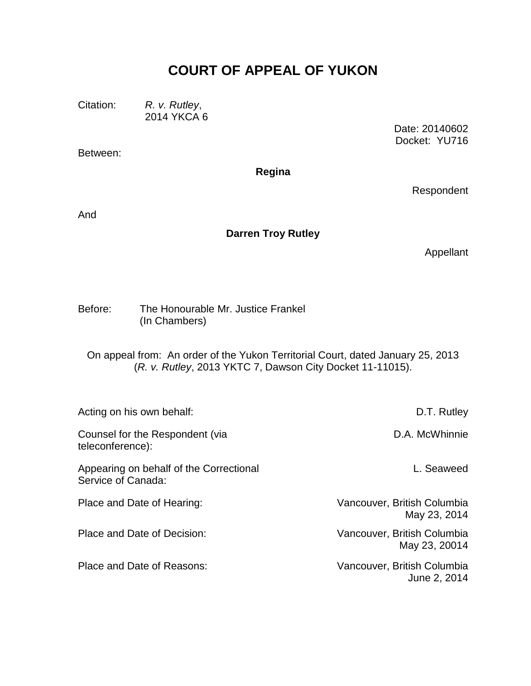# **COURT OF APPEAL OF YUKON**

Citation: *R. v. Rutley*, 2014 YKCA 6

Between:

Date: 20140602 Docket: YU716

**Regina**

Respondent

And

#### **Darren Troy Rutley**

Appellant

Before: The Honourable Mr. Justice Frankel (In Chambers)

On appeal from: An order of the Yukon Territorial Court, dated January 25, 2013 (*R. v. Rutley*, 2013 YKTC 7, Dawson City Docket 11-11015).

| Acting on his own behalf:                                     | D.T. Rutley                                  |
|---------------------------------------------------------------|----------------------------------------------|
| Counsel for the Respondent (via<br>teleconference):           | D.A. McWhinnie                               |
| Appearing on behalf of the Correctional<br>Service of Canada: | L. Seaweed                                   |
| Place and Date of Hearing:                                    | Vancouver, British Columbia<br>May 23, 2014  |
| Place and Date of Decision:                                   | Vancouver, British Columbia<br>May 23, 20014 |
| Place and Date of Reasons:                                    | Vancouver, British Columbia<br>June 2, 2014  |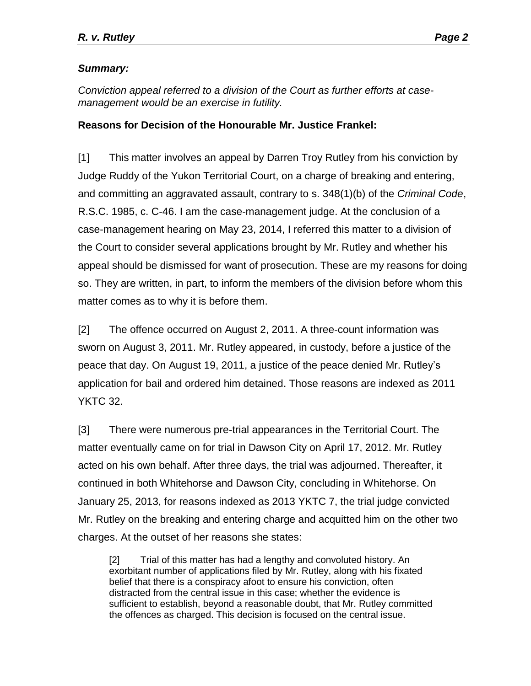### *Summary:*

*Conviction appeal referred to a division of the Court as further efforts at casemanagement would be an exercise in futility.*

#### **Reasons for Decision of the Honourable Mr. Justice Frankel:**

[1] This matter involves an appeal by Darren Troy Rutley from his conviction by Judge Ruddy of the Yukon Territorial Court, on a charge of breaking and entering, and committing an aggravated assault, contrary to s. 348(1)(b) of the *Criminal Code*, R.S.C. 1985, c. C-46. I am the case-management judge. At the conclusion of a case-management hearing on May 23, 2014, I referred this matter to a division of the Court to consider several applications brought by Mr. Rutley and whether his appeal should be dismissed for want of prosecution. These are my reasons for doing so. They are written, in part, to inform the members of the division before whom this matter comes as to why it is before them.

[2] The offence occurred on August 2, 2011. A three-count information was sworn on August 3, 2011. Mr. Rutley appeared, in custody, before a justice of the peace that day. On August 19, 2011, a justice of the peace denied Mr. Rutley's application for bail and ordered him detained. Those reasons are indexed as 2011 YKTC 32.

[3] There were numerous pre-trial appearances in the Territorial Court. The matter eventually came on for trial in Dawson City on April 17, 2012. Mr. Rutley acted on his own behalf. After three days, the trial was adjourned. Thereafter, it continued in both Whitehorse and Dawson City, concluding in Whitehorse. On January 25, 2013, for reasons indexed as 2013 YKTC 7, the trial judge convicted Mr. Rutley on the breaking and entering charge and acquitted him on the other two charges. At the outset of her reasons she states:

[2] Trial of this matter has had a lengthy and convoluted history. An exorbitant number of applications filed by Mr. Rutley, along with his fixated belief that there is a conspiracy afoot to ensure his conviction, often distracted from the central issue in this case; whether the evidence is sufficient to establish, beyond a reasonable doubt, that Mr. Rutley committed the offences as charged. This decision is focused on the central issue.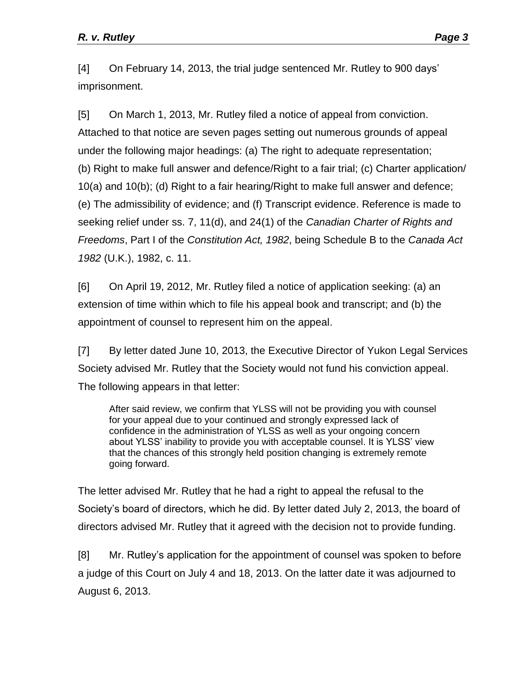[4] On February 14, 2013, the trial judge sentenced Mr. Rutley to 900 days' imprisonment.

[5] On March 1, 2013, Mr. Rutley filed a notice of appeal from conviction. Attached to that notice are seven pages setting out numerous grounds of appeal under the following major headings: (a) The right to adequate representation; (b) Right to make full answer and defence/Right to a fair trial; (c) Charter application/ 10(a) and 10(b); (d) Right to a fair hearing/Right to make full answer and defence; (e) The admissibility of evidence; and (f) Transcript evidence. Reference is made to seeking relief under ss. 7, 11(d), and 24(1) of the *Canadian Charter of Rights and Freedoms*, Part I of the *Constitution Act, 1982*, being Schedule B to the *Canada Act 1982* (U.K.), 1982, c. 11.

[6] On April 19, 2012, Mr. Rutley filed a notice of application seeking: (a) an extension of time within which to file his appeal book and transcript; and (b) the appointment of counsel to represent him on the appeal.

[7] By letter dated June 10, 2013, the Executive Director of Yukon Legal Services Society advised Mr. Rutley that the Society would not fund his conviction appeal. The following appears in that letter:

After said review, we confirm that YLSS will not be providing you with counsel for your appeal due to your continued and strongly expressed lack of confidence in the administration of YLSS as well as your ongoing concern about YLSS' inability to provide you with acceptable counsel. It is YLSS' view that the chances of this strongly held position changing is extremely remote going forward.

The letter advised Mr. Rutley that he had a right to appeal the refusal to the Society's board of directors, which he did. By letter dated July 2, 2013, the board of directors advised Mr. Rutley that it agreed with the decision not to provide funding.

[8] Mr. Rutley's application for the appointment of counsel was spoken to before a judge of this Court on July 4 and 18, 2013. On the latter date it was adjourned to August 6, 2013.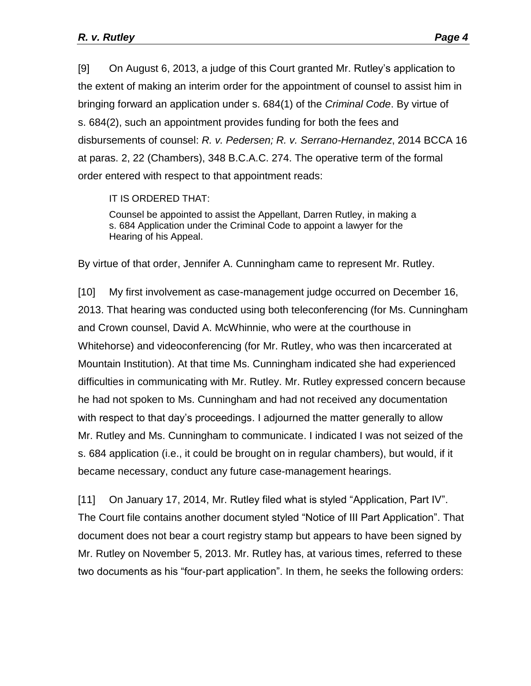[9] On August 6, 2013, a judge of this Court granted Mr. Rutley's application to the extent of making an interim order for the appointment of counsel to assist him in bringing forward an application under s. 684(1) of the *Criminal Code*. By virtue of s. 684(2), such an appointment provides funding for both the fees and disbursements of counsel: *R. v. Pedersen; R. v. Serrano-Hernandez*, 2014 BCCA 16 at paras. 2, 22 (Chambers), 348 B.C.A.C. 274. The operative term of the formal order entered with respect to that appointment reads:

IT IS ORDERED THAT:

Counsel be appointed to assist the Appellant, Darren Rutley, in making a s. 684 Application under the Criminal Code to appoint a lawyer for the Hearing of his Appeal.

By virtue of that order, Jennifer A. Cunningham came to represent Mr. Rutley.

[10] My first involvement as case-management judge occurred on December 16, 2013. That hearing was conducted using both teleconferencing (for Ms. Cunningham and Crown counsel, David A. McWhinnie, who were at the courthouse in Whitehorse) and videoconferencing (for Mr. Rutley, who was then incarcerated at Mountain Institution). At that time Ms. Cunningham indicated she had experienced difficulties in communicating with Mr. Rutley. Mr. Rutley expressed concern because he had not spoken to Ms. Cunningham and had not received any documentation with respect to that day's proceedings. I adjourned the matter generally to allow Mr. Rutley and Ms. Cunningham to communicate. I indicated I was not seized of the s. 684 application (i.e., it could be brought on in regular chambers), but would, if it became necessary, conduct any future case-management hearings.

[11] On January 17, 2014, Mr. Rutley filed what is styled "Application, Part IV". The Court file contains another document styled "Notice of III Part Application". That document does not bear a court registry stamp but appears to have been signed by Mr. Rutley on November 5, 2013. Mr. Rutley has, at various times, referred to these two documents as his "four-part application". In them, he seeks the following orders: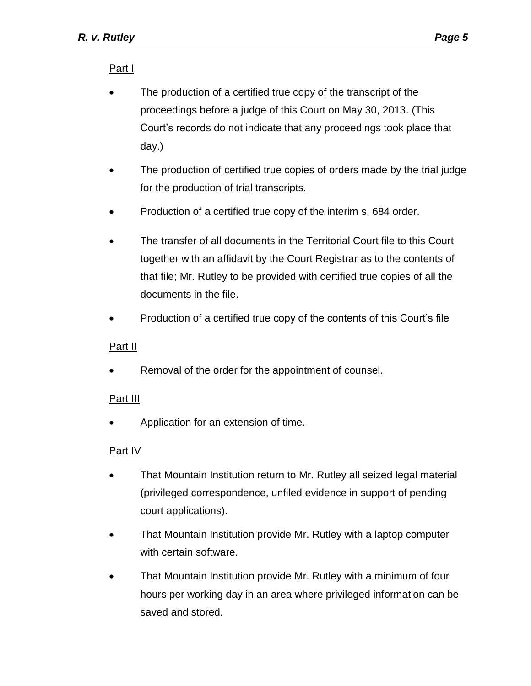Part I

- The production of a certified true copy of the transcript of the proceedings before a judge of this Court on May 30, 2013. (This Court's records do not indicate that any proceedings took place that day.)
- The production of certified true copies of orders made by the trial judge for the production of trial transcripts.
- Production of a certified true copy of the interim s. 684 order.
- The transfer of all documents in the Territorial Court file to this Court together with an affidavit by the Court Registrar as to the contents of that file; Mr. Rutley to be provided with certified true copies of all the documents in the file.
- Production of a certified true copy of the contents of this Court's file

## Part II

Removal of the order for the appointment of counsel.

## Part III

Application for an extension of time.

## Part IV

- That Mountain Institution return to Mr. Rutley all seized legal material (privileged correspondence, unfiled evidence in support of pending court applications).
- That Mountain Institution provide Mr. Rutley with a laptop computer with certain software.
- That Mountain Institution provide Mr. Rutley with a minimum of four hours per working day in an area where privileged information can be saved and stored.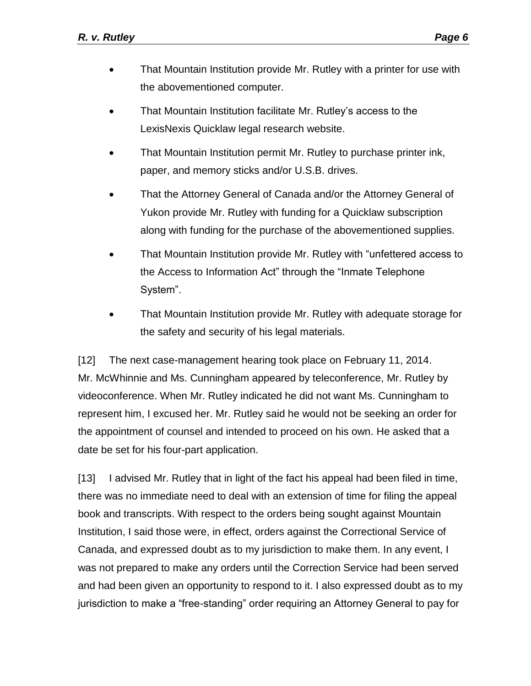- That Mountain Institution provide Mr. Rutley with a printer for use with the abovementioned computer.
- That Mountain Institution facilitate Mr. Rutley's access to the LexisNexis Quicklaw legal research website.
- That Mountain Institution permit Mr. Rutley to purchase printer ink, paper, and memory sticks and/or U.S.B. drives.
- That the Attorney General of Canada and/or the Attorney General of Yukon provide Mr. Rutley with funding for a Quicklaw subscription along with funding for the purchase of the abovementioned supplies.
- That Mountain Institution provide Mr. Rutley with "unfettered access to the Access to Information Act" through the "Inmate Telephone System".
- That Mountain Institution provide Mr. Rutley with adequate storage for the safety and security of his legal materials.

[12] The next case-management hearing took place on February 11, 2014. Mr. McWhinnie and Ms. Cunningham appeared by teleconference, Mr. Rutley by videoconference. When Mr. Rutley indicated he did not want Ms. Cunningham to represent him, I excused her. Mr. Rutley said he would not be seeking an order for the appointment of counsel and intended to proceed on his own. He asked that a date be set for his four-part application.

[13] I advised Mr. Rutley that in light of the fact his appeal had been filed in time, there was no immediate need to deal with an extension of time for filing the appeal book and transcripts. With respect to the orders being sought against Mountain Institution, I said those were, in effect, orders against the Correctional Service of Canada, and expressed doubt as to my jurisdiction to make them. In any event, I was not prepared to make any orders until the Correction Service had been served and had been given an opportunity to respond to it. I also expressed doubt as to my jurisdiction to make a "free-standing" order requiring an Attorney General to pay for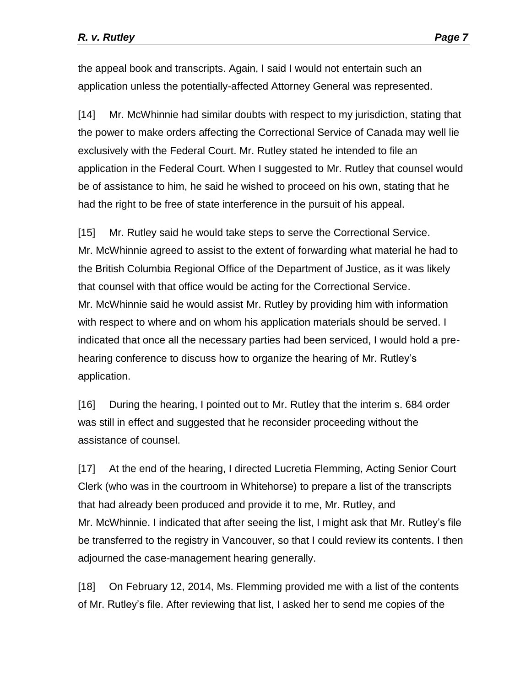the appeal book and transcripts. Again, I said I would not entertain such an application unless the potentially-affected Attorney General was represented.

[14] Mr. McWhinnie had similar doubts with respect to my jurisdiction, stating that the power to make orders affecting the Correctional Service of Canada may well lie exclusively with the Federal Court. Mr. Rutley stated he intended to file an application in the Federal Court. When I suggested to Mr. Rutley that counsel would be of assistance to him, he said he wished to proceed on his own, stating that he had the right to be free of state interference in the pursuit of his appeal.

[15] Mr. Rutley said he would take steps to serve the Correctional Service. Mr. McWhinnie agreed to assist to the extent of forwarding what material he had to the British Columbia Regional Office of the Department of Justice, as it was likely that counsel with that office would be acting for the Correctional Service. Mr. McWhinnie said he would assist Mr. Rutley by providing him with information with respect to where and on whom his application materials should be served. I indicated that once all the necessary parties had been serviced, I would hold a prehearing conference to discuss how to organize the hearing of Mr. Rutley's application.

[16] During the hearing, I pointed out to Mr. Rutley that the interim s. 684 order was still in effect and suggested that he reconsider proceeding without the assistance of counsel.

[17] At the end of the hearing, I directed Lucretia Flemming, Acting Senior Court Clerk (who was in the courtroom in Whitehorse) to prepare a list of the transcripts that had already been produced and provide it to me, Mr. Rutley, and Mr. McWhinnie. I indicated that after seeing the list, I might ask that Mr. Rutley's file be transferred to the registry in Vancouver, so that I could review its contents. I then adjourned the case-management hearing generally.

[18] On February 12, 2014, Ms. Flemming provided me with a list of the contents of Mr. Rutley's file. After reviewing that list, I asked her to send me copies of the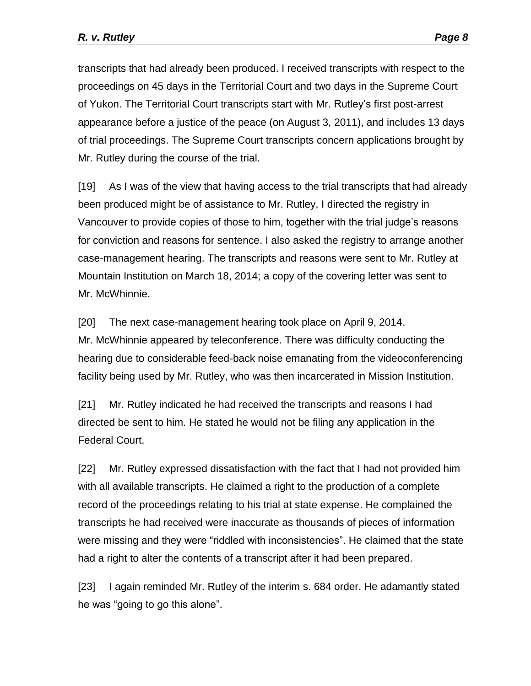transcripts that had already been produced. I received transcripts with respect to the proceedings on 45 days in the Territorial Court and two days in the Supreme Court of Yukon. The Territorial Court transcripts start with Mr. Rutley's first post-arrest appearance before a justice of the peace (on August 3, 2011), and includes 13 days of trial proceedings. The Supreme Court transcripts concern applications brought by Mr. Rutley during the course of the trial.

[19] As I was of the view that having access to the trial transcripts that had already been produced might be of assistance to Mr. Rutley, I directed the registry in Vancouver to provide copies of those to him, together with the trial judge's reasons for conviction and reasons for sentence. I also asked the registry to arrange another case-management hearing. The transcripts and reasons were sent to Mr. Rutley at Mountain Institution on March 18, 2014; a copy of the covering letter was sent to Mr. McWhinnie.

[20] The next case-management hearing took place on April 9, 2014. Mr. McWhinnie appeared by teleconference. There was difficulty conducting the hearing due to considerable feed-back noise emanating from the videoconferencing facility being used by Mr. Rutley, who was then incarcerated in Mission Institution.

[21] Mr. Rutley indicated he had received the transcripts and reasons I had directed be sent to him. He stated he would not be filing any application in the Federal Court.

[22] Mr. Rutley expressed dissatisfaction with the fact that I had not provided him with all available transcripts. He claimed a right to the production of a complete record of the proceedings relating to his trial at state expense. He complained the transcripts he had received were inaccurate as thousands of pieces of information were missing and they were "riddled with inconsistencies". He claimed that the state had a right to alter the contents of a transcript after it had been prepared.

[23] I again reminded Mr. Rutley of the interim s. 684 order. He adamantly stated he was "going to go this alone".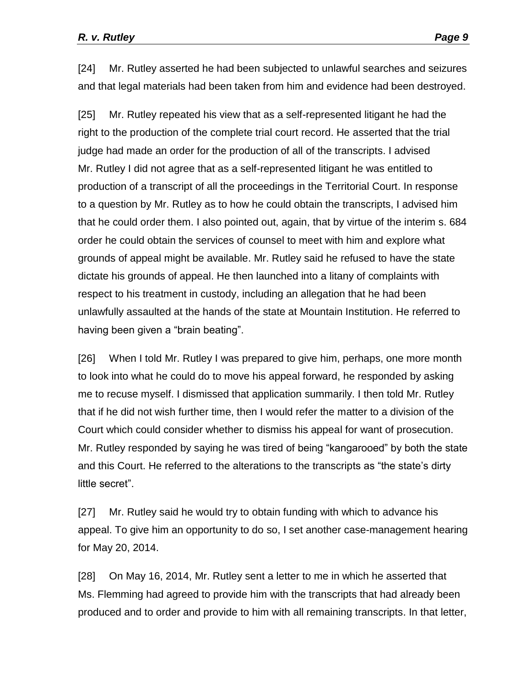[24] Mr. Rutley asserted he had been subjected to unlawful searches and seizures and that legal materials had been taken from him and evidence had been destroyed.

[25] Mr. Rutley repeated his view that as a self-represented litigant he had the right to the production of the complete trial court record. He asserted that the trial judge had made an order for the production of all of the transcripts. I advised Mr. Rutley I did not agree that as a self-represented litigant he was entitled to production of a transcript of all the proceedings in the Territorial Court. In response to a question by Mr. Rutley as to how he could obtain the transcripts, I advised him that he could order them. I also pointed out, again, that by virtue of the interim s. 684 order he could obtain the services of counsel to meet with him and explore what grounds of appeal might be available. Mr. Rutley said he refused to have the state dictate his grounds of appeal. He then launched into a litany of complaints with respect to his treatment in custody, including an allegation that he had been unlawfully assaulted at the hands of the state at Mountain Institution. He referred to having been given a "brain beating".

[26] When I told Mr. Rutley I was prepared to give him, perhaps, one more month to look into what he could do to move his appeal forward, he responded by asking me to recuse myself. I dismissed that application summarily. I then told Mr. Rutley that if he did not wish further time, then I would refer the matter to a division of the Court which could consider whether to dismiss his appeal for want of prosecution. Mr. Rutley responded by saying he was tired of being "kangarooed" by both the state and this Court. He referred to the alterations to the transcripts as "the state's dirty little secret".

[27] Mr. Rutley said he would try to obtain funding with which to advance his appeal. To give him an opportunity to do so, I set another case-management hearing for May 20, 2014.

[28] On May 16, 2014, Mr. Rutley sent a letter to me in which he asserted that Ms. Flemming had agreed to provide him with the transcripts that had already been produced and to order and provide to him with all remaining transcripts. In that letter,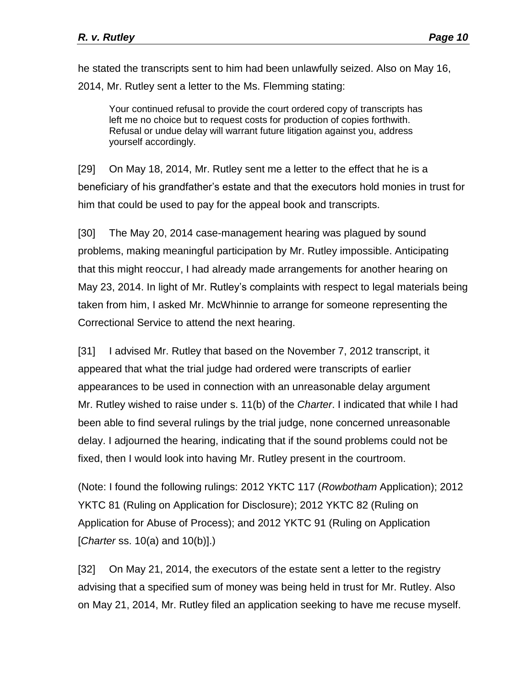he stated the transcripts sent to him had been unlawfully seized. Also on May 16, 2014, Mr. Rutley sent a letter to the Ms. Flemming stating:

Your continued refusal to provide the court ordered copy of transcripts has left me no choice but to request costs for production of copies forthwith. Refusal or undue delay will warrant future litigation against you, address yourself accordingly.

[29] On May 18, 2014, Mr. Rutley sent me a letter to the effect that he is a beneficiary of his grandfather's estate and that the executors hold monies in trust for him that could be used to pay for the appeal book and transcripts.

[30] The May 20, 2014 case-management hearing was plagued by sound problems, making meaningful participation by Mr. Rutley impossible. Anticipating that this might reoccur, I had already made arrangements for another hearing on May 23, 2014. In light of Mr. Rutley's complaints with respect to legal materials being taken from him, I asked Mr. McWhinnie to arrange for someone representing the Correctional Service to attend the next hearing.

[31] I advised Mr. Rutley that based on the November 7, 2012 transcript, it appeared that what the trial judge had ordered were transcripts of earlier appearances to be used in connection with an unreasonable delay argument Mr. Rutley wished to raise under s. 11(b) of the *Charter*. I indicated that while I had been able to find several rulings by the trial judge, none concerned unreasonable delay. I adjourned the hearing, indicating that if the sound problems could not be fixed, then I would look into having Mr. Rutley present in the courtroom.

(Note: I found the following rulings: 2012 YKTC 117 (*Rowbotham* Application); 2012 YKTC 81 (Ruling on Application for Disclosure); 2012 YKTC 82 (Ruling on Application for Abuse of Process); and 2012 YKTC 91 (Ruling on Application [*Charter* ss. 10(a) and 10(b)].)

[32] On May 21, 2014, the executors of the estate sent a letter to the registry advising that a specified sum of money was being held in trust for Mr. Rutley. Also on May 21, 2014, Mr. Rutley filed an application seeking to have me recuse myself.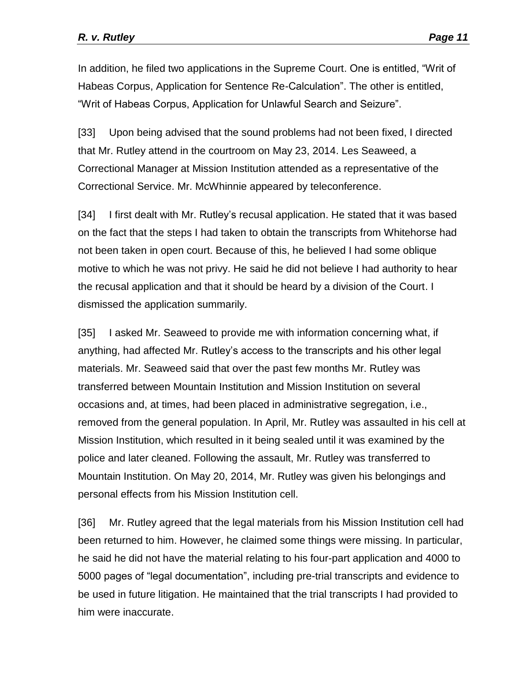In addition, he filed two applications in the Supreme Court. One is entitled, "Writ of Habeas Corpus, Application for Sentence Re-Calculation". The other is entitled, "Writ of Habeas Corpus, Application for Unlawful Search and Seizure".

[33] Upon being advised that the sound problems had not been fixed, I directed that Mr. Rutley attend in the courtroom on May 23, 2014. Les Seaweed, a Correctional Manager at Mission Institution attended as a representative of the Correctional Service. Mr. McWhinnie appeared by teleconference.

[34] I first dealt with Mr. Rutley's recusal application. He stated that it was based on the fact that the steps I had taken to obtain the transcripts from Whitehorse had not been taken in open court. Because of this, he believed I had some oblique motive to which he was not privy. He said he did not believe I had authority to hear the recusal application and that it should be heard by a division of the Court. I dismissed the application summarily.

[35] I asked Mr. Seaweed to provide me with information concerning what, if anything, had affected Mr. Rutley's access to the transcripts and his other legal materials. Mr. Seaweed said that over the past few months Mr. Rutley was transferred between Mountain Institution and Mission Institution on several occasions and, at times, had been placed in administrative segregation, i.e., removed from the general population. In April, Mr. Rutley was assaulted in his cell at Mission Institution, which resulted in it being sealed until it was examined by the police and later cleaned. Following the assault, Mr. Rutley was transferred to Mountain Institution. On May 20, 2014, Mr. Rutley was given his belongings and personal effects from his Mission Institution cell.

[36] Mr. Rutley agreed that the legal materials from his Mission Institution cell had been returned to him. However, he claimed some things were missing. In particular, he said he did not have the material relating to his four-part application and 4000 to 5000 pages of "legal documentation", including pre-trial transcripts and evidence to be used in future litigation. He maintained that the trial transcripts I had provided to him were inaccurate.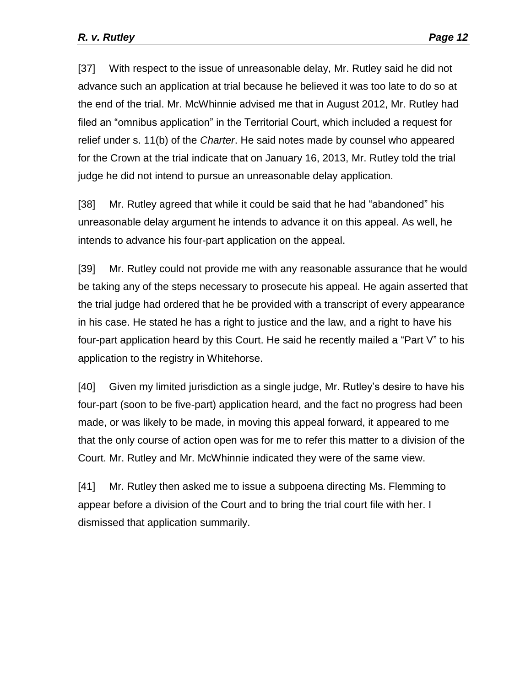[37] With respect to the issue of unreasonable delay, Mr. Rutley said he did not advance such an application at trial because he believed it was too late to do so at the end of the trial. Mr. McWhinnie advised me that in August 2012, Mr. Rutley had filed an "omnibus application" in the Territorial Court, which included a request for relief under s. 11(b) of the *Charter*. He said notes made by counsel who appeared for the Crown at the trial indicate that on January 16, 2013, Mr. Rutley told the trial judge he did not intend to pursue an unreasonable delay application.

[38] Mr. Rutley agreed that while it could be said that he had "abandoned" his unreasonable delay argument he intends to advance it on this appeal. As well, he intends to advance his four-part application on the appeal.

[39] Mr. Rutley could not provide me with any reasonable assurance that he would be taking any of the steps necessary to prosecute his appeal. He again asserted that the trial judge had ordered that he be provided with a transcript of every appearance in his case. He stated he has a right to justice and the law, and a right to have his four-part application heard by this Court. He said he recently mailed a "Part V" to his application to the registry in Whitehorse.

[40] Given my limited jurisdiction as a single judge, Mr. Rutley's desire to have his four-part (soon to be five-part) application heard, and the fact no progress had been made, or was likely to be made, in moving this appeal forward, it appeared to me that the only course of action open was for me to refer this matter to a division of the Court. Mr. Rutley and Mr. McWhinnie indicated they were of the same view.

[41] Mr. Rutley then asked me to issue a subpoena directing Ms. Flemming to appear before a division of the Court and to bring the trial court file with her. I dismissed that application summarily.